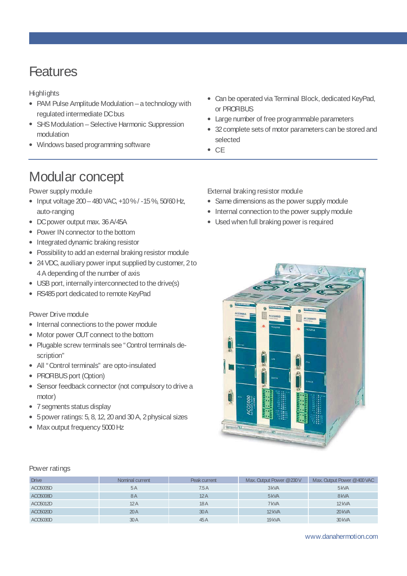## **Features**

**Highlights** 

- PAM Pulse Amplitude Modulation a technology with regulated intermediate DC bus
- SHS Modulation Selective Harmonic Suppression modulation
- Windows based programming software
- Can be operated via Terminal Block, dedicated KeyPad, or PROFIBUS
- Large number of free programmable parameters
- 32 complete sets of motor parameters can be stored and selected
- CE

# Modular concept

Power supply module

- Input voltage 200 480 VAC, +10 % / -15 %, 50/60 Hz, auto-ranging
- DC power output max. 36 A/45A
- Power IN connector to the bottom
- Integrated dynamic braking resistor
- Possibility to add an external braking resistor module
- 24 VDC, auxiliary power input supplied by customer, 2 to 4 A depending of the number of axis
- USB port, internally interconnected to the drive(s)
- RS485 port dedicated to remote KeyPad

### Power Drive module

- Internal connections to the power module
- Motor power OUT connect to the bottom
- Plugable screw terminals see "Control terminals description"
- All "Control terminals" are opto-insulated
- PROFIBUS port (Option)
- Sensor feedback connector (not compulsory to drive a motor)
- 7 segments status display
- 5 power ratings: 5, 8, 12, 20 and 30 A, 2 physical sizes
- Max output frequency 5000 Hz

External braking resistor module • Same dimensions as the power supply module

- Internal connection to the power supply module
- Used when full braking power is required



#### Power ratings

| <b>Drive</b> | Nominal current | Peak current | Max. Output Power @230 V | Max. Output Power @400 VAC |
|--------------|-----------------|--------------|--------------------------|----------------------------|
| ACC6005D     | 5A              | 7.5A         | 3 <sub>kVA</sub>         | 5 <sub>kVA</sub>           |
| ACC5008D     | 8A              | 12A          | 5 <sub>kVA</sub>         | 8 <sub>kVA</sub>           |
| ACC6012D     | 12A             | 18A          | 7 kVA                    | $12$ kVA                   |
| ACC6020D     | 20A             | 30A          | 12 <sub>kVA</sub>        | 20 <sub>kVA</sub>          |
| ACC6030D     | 30A             | 45 A         | 19 <sub>kVA</sub>        | 30 <sub>kVA</sub>          |